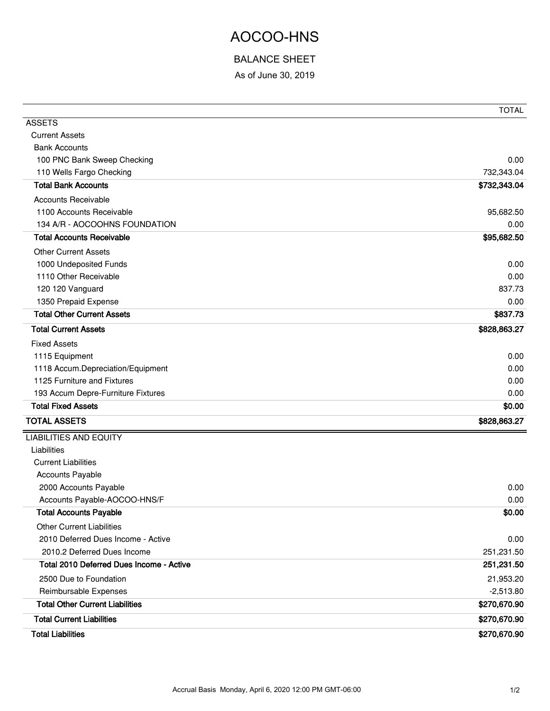## AOCOO-HNS

## BALANCE SHEET

As of June 30, 2019

|                                          | <b>TOTAL</b> |
|------------------------------------------|--------------|
| <b>ASSETS</b>                            |              |
| <b>Current Assets</b>                    |              |
| <b>Bank Accounts</b>                     |              |
| 100 PNC Bank Sweep Checking              | 0.00         |
| 110 Wells Fargo Checking                 | 732,343.04   |
| <b>Total Bank Accounts</b>               | \$732,343.04 |
| <b>Accounts Receivable</b>               |              |
| 1100 Accounts Receivable                 | 95,682.50    |
| 134 A/R - AOCOOHNS FOUNDATION            | 0.00         |
| <b>Total Accounts Receivable</b>         | \$95,682.50  |
| <b>Other Current Assets</b>              |              |
| 1000 Undeposited Funds                   | 0.00         |
| 1110 Other Receivable                    | 0.00         |
| 120 120 Vanguard                         | 837.73       |
| 1350 Prepaid Expense                     | 0.00         |
| <b>Total Other Current Assets</b>        | \$837.73     |
| <b>Total Current Assets</b>              | \$828,863.27 |
| <b>Fixed Assets</b>                      |              |
| 1115 Equipment                           | 0.00         |
| 1118 Accum. Depreciation/Equipment       | 0.00         |
| 1125 Furniture and Fixtures              | 0.00         |
| 193 Accum Depre-Furniture Fixtures       | 0.00         |
| <b>Total Fixed Assets</b>                | \$0.00       |
| <b>TOTAL ASSETS</b>                      | \$828,863.27 |
| <b>LIABILITIES AND EQUITY</b>            |              |
| Liabilities                              |              |
| <b>Current Liabilities</b>               |              |
| Accounts Payable                         |              |
| 2000 Accounts Payable                    | 0.00         |
| Accounts Payable-AOCOO-HNS/F             | 0.00         |
| <b>Total Accounts Payable</b>            | \$0.00       |
| <b>Other Current Liabilities</b>         |              |
| 2010 Deferred Dues Income - Active       | 0.00         |
| 2010.2 Deferred Dues Income              | 251,231.50   |
| Total 2010 Deferred Dues Income - Active | 251,231.50   |
| 2500 Due to Foundation                   | 21,953.20    |
| Reimbursable Expenses                    | $-2,513.80$  |
| <b>Total Other Current Liabilities</b>   | \$270,670.90 |
| <b>Total Current Liabilities</b>         | \$270,670.90 |
| <b>Total Liabilities</b>                 | \$270,670.90 |